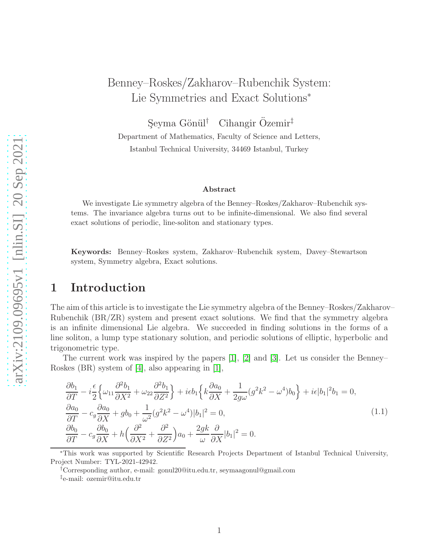# Benney–Roskes/Zakharov–Rubenchik System: Lie Symmetries and Exact Solutions<sup>∗</sup>

Seyma Gönül<sup>†</sup> Cihangir Özemir<sup>‡</sup>

Department of Mathematics, Faculty of Science and Letters, Istanbul Technical University, 34469 Istanbul, Turkey

#### Abstract

We investigate Lie symmetry algebra of the Benney–Roskes/Zakharov–Rubenchik systems. The invariance algebra turns out to be infinite-dimensional. We also find several exact solutions of periodic, line-soliton and stationary types.

Keywords: Benney–Roskes system, Zakharov–Rubenchik system, Davey–Stewartson system, Symmetry algebra, Exact solutions.

### 1 Introduction

The aim of this article is to investigate the Lie symmetry algebra of the Benney–Roskes/Zakharov– Rubenchik (BR/ZR) system and present exact solutions. We find that the symmetry algebra is an infinite dimensional Lie algebra. We succeeded in finding solutions in the forms of a line soliton, a lump type stationary solution, and periodic solutions of elliptic, hyperbolic and trigonometric type.

The current work was inspired by the papers [\[1\]](#page-15-0), [\[2\]](#page-15-1) and [\[3\]](#page-15-2). Let us consider the Benney– Roskes (BR) system of [\[4\]](#page-15-3), also appearing in [\[1\]](#page-15-0),

<span id="page-0-0"></span>
$$
\frac{\partial b_1}{\partial T} - i \frac{\epsilon}{2} \Big\{ \omega_{11} \frac{\partial^2 b_1}{\partial X^2} + \omega_{22} \frac{\partial^2 b_1}{\partial Z^2} \Big\} + i\epsilon b_1 \Big\{ k \frac{\partial a_0}{\partial X} + \frac{1}{2g\omega} (g^2 k^2 - \omega^4) b_0 \Big\} + i\epsilon |b_1|^2 b_1 = 0,
$$
\n
$$
\frac{\partial a_0}{\partial T} - c_g \frac{\partial a_0}{\partial X} + g b_0 + \frac{1}{\omega^2} (g^2 k^2 - \omega^4) |b_1|^2 = 0,
$$
\n
$$
\frac{\partial b_0}{\partial T} - c_g \frac{\partial b_0}{\partial X} + h \Big( \frac{\partial^2}{\partial X^2} + \frac{\partial^2}{\partial Z^2} \Big) a_0 + \frac{2g k}{\omega} \frac{\partial}{\partial X} |b_1|^2 = 0.
$$
\n(1.1)

†Corresponding author, e-mail: gonul20@itu.edu.tr, seymaagonul@gmail.com ‡ e-mail: ozemir@itu.edu.tr

<sup>∗</sup>This work was supported by Scientific Research Projects Department of Istanbul Technical University, Project Number: TYL-2021-42942.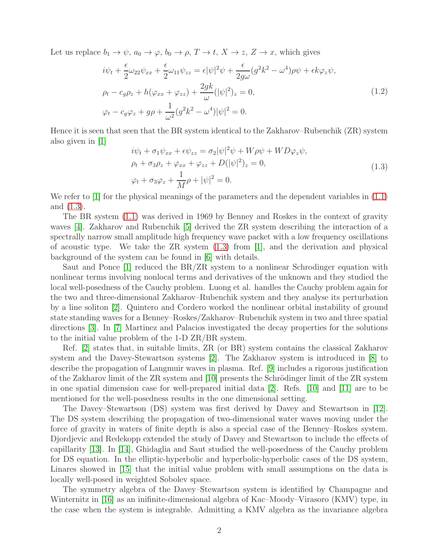Let us replace  $b_1 \to \psi$ ,  $a_0 \to \varphi$ ,  $b_0 \to \rho$ ,  $T \to t$ ,  $X \to z$ ,  $Z \to x$ , which gives

<span id="page-1-1"></span>
$$
i\psi_t + \frac{\epsilon}{2}\omega_{22}\psi_{xx} + \frac{\epsilon}{2}\omega_{11}\psi_{zz} = \epsilon |\psi|^2 \psi + \frac{\epsilon}{2g\omega}(g^2 k^2 - \omega^4)\rho\psi + \epsilon k \varphi_z \psi,
$$
  
\n
$$
\rho_t - c_g \rho_z + h(\varphi_{xx} + \varphi_{zz}) + \frac{2gk}{\omega}(|\psi|^2)_z = 0,
$$
  
\n
$$
\varphi_t - c_g \varphi_z + g\rho + \frac{1}{\omega^2}(g^2 k^2 - \omega^4)|\psi|^2 = 0.
$$
\n(1.2)

Hence it is seen that seen that the BR system identical to the Zakharov–Rubenchik (ZR) system also given in [\[1\]](#page-15-0)

<span id="page-1-0"></span>
$$
i\psi_t + \sigma_1 \psi_{xx} + \epsilon \psi_{zz} = \sigma_2 |\psi|^2 \psi + W \rho \psi + W D \varphi_z \psi,
$$
  
\n
$$
\rho_t + \sigma_3 \rho_z + \varphi_{xx} + \varphi_{zz} + D(|\psi|^2)_z = 0,
$$
  
\n
$$
\varphi_t + \sigma_3 \varphi_z + \frac{1}{M} \rho + |\psi|^2 = 0.
$$
\n(1.3)

We refer to |1| for the physical meanings of the parameters and the dependent variables in [\(1.1\)](#page-0-0) and [\(1.3\)](#page-1-0).

The BR system [\(1.1\)](#page-0-0) was derived in 1969 by Benney and Roskes in the context of gravity waves [\[4\]](#page-15-3). Zakharov and Rubenchik [\[5\]](#page-15-4) derived the ZR system describing the interaction of a spectrally narrow small amplitude high frequency wave packet with a low frequency oscillations of acoustic type. We take the  $\text{ZR}$  system  $(1.3)$  from  $[1]$ , and the derivation and physical background of the system can be found in [\[6\]](#page-15-5) with details.

Saut and Ponce [\[1\]](#page-15-0) reduced the BR/ZR system to a nonlinear Schrodinger equation with nonlinear terms involving nonlocal terms and derivatives of the unknown and they studied the local well-posedness of the Cauchy problem. Luong et al. handles the Cauchy problem again for the two and three-dimensional Zakharov–Rubenchik system and they analyse its perturbation by a line soliton [\[2\]](#page-15-1). Quintero and Cordero worked the nonlinear orbital instability of ground state standing waves for a Benney–Roskes/Zakharov–Rubenchik system in two and three spatial directions [\[3\]](#page-15-2). In [\[7\]](#page-15-6) Martinez and Palacios investigated the decay properties for the solutions to the initial value problem of the 1-D ZR/BR system.

Ref. [\[2\]](#page-15-1) states that, in suitable limits, ZR (or BR) system contains the classical Zakharov system and the Davey-Stewartson systems [\[2\]](#page-15-1). The Zakharov system is introduced in [\[8\]](#page-15-7) to describe the propagation of Langmuir waves in plasma. Ref. [\[9\]](#page-15-8) includes a rigorous justification of the Zakharov limit of the ZR system and  $[10]$  presents the Schrödinger limit of the ZR system in one spatial dimension case for well-prepared initial data [\[2\]](#page-15-1). Refs. [\[10\]](#page-15-9) and [\[11\]](#page-15-10) are to be mentioned for the well-posedness results in the one dimensional setting.

The Davey–Stewartson (DS) system was first derived by Davey and Stewartson in [\[12\]](#page-15-11). The DS system describing the propagation of two-dimensional water waves moving under the force of gravity in waters of finite depth is also a special case of the Benney–Roskes system. Djordjevic and Redekopp extended the study of Davey and Stewartson to include the effects of capillarity [\[13\]](#page-15-12). In [\[14\]](#page-15-13), Ghidaglia and Saut studied the well-posedness of the Cauchy problem for DS equation. In the elliptic-hyperbolic and hyperbolic-hyperbolic cases of the DS system, Linares showed in [\[15\]](#page-15-14) that the initial value problem with small assumptions on the data is locally well-posed in weighted Sobolev space.

The symmetry algebra of the Davey–Stewartson system is identified by Champagne and Winternitz in [\[16\]](#page-15-15) as an inifinite-dimensional algebra of Kac–Moody–Virasoro (KMV) type, in the case when the system is integrable. Admitting a KMV algebra as the invariance algebra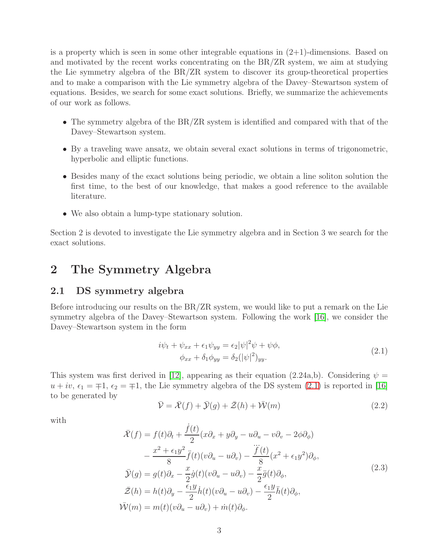is a property which is seen in some other integrable equations in  $(2+1)$ -dimensions. Based on and motivated by the recent works concentrating on the BR/ZR system, we aim at studying the Lie symmetry algebra of the BR/ZR system to discover its group-theoretical properties and to make a comparison with the Lie symmetry algebra of the Davey–Stewartson system of equations. Besides, we search for some exact solutions. Briefly, we summarize the achievements of our work as follows.

- The symmetry algebra of the BR/ZR system is identified and compared with that of the Davey–Stewartson system.
- By a traveling wave ansatz, we obtain several exact solutions in terms of trigonometric, hyperbolic and elliptic functions.
- Besides many of the exact solutions being periodic, we obtain a line soliton solution the first time, to the best of our knowledge, that makes a good reference to the available literature.
- We also obtain a lump-type stationary solution.

Section 2 is devoted to investigate the Lie symmetry algebra and in Section 3 we search for the exact solutions.

## 2 The Symmetry Algebra

### 2.1 DS symmetry algebra

Before introducing our results on the BR/ZR system, we would like to put a remark on the Lie symmetry algebra of the Davey–Stewartson system. Following the work [\[16\]](#page-15-15), we consider the Davey–Stewartson system in the form

<span id="page-2-0"></span>
$$
i\psi_t + \psi_{xx} + \epsilon_1 \psi_{yy} = \epsilon_2 |\psi|^2 \psi + \psi \phi,
$$
  
\n
$$
\phi_{xx} + \delta_1 \phi_{yy} = \delta_2 (|\psi|^2)_{yy}.
$$
\n(2.1)

This system was first derived in [\[12\]](#page-15-11), appearing as their equation (2.24a,b). Considering  $\psi =$  $u + iv$ ,  $\epsilon_1 = \pm 1$ ,  $\epsilon_2 = \pm 1$ , the Lie symmetry algebra of the DS system [\(2.1\)](#page-2-0) is reported in [\[16\]](#page-15-15) to be generated by

$$
\bar{\mathcal{V}} = \bar{\mathcal{X}}(f) + \bar{\mathcal{Y}}(g) + \bar{\mathcal{Z}}(h) + \bar{\mathcal{W}}(m)
$$
\n(2.2)

with

<span id="page-2-1"></span>
$$
\bar{\mathcal{X}}(f) = f(t)\partial_t + \frac{\dot{f}(t)}{2}(x\partial_x + y\partial_y - u\partial_u - v\partial_v - 2\phi\partial_\phi) \n- \frac{x^2 + \epsilon_1 y^2}{8} \ddot{f}(t)(v\partial_u - u\partial_v) - \frac{\ddot{f}(t)}{8}(x^2 + \epsilon_1 y^2)\partial_\phi, \n\bar{\mathcal{Y}}(g) = g(t)\partial_x - \frac{x}{2}\dot{g}(t)(v\partial_u - u\partial_v) - \frac{x}{2}\ddot{g}(t)\partial_\phi, \n\bar{\mathcal{Z}}(h) = h(t)\partial_y - \frac{\epsilon_1 y}{2}\dot{h}(t)(v\partial_u - u\partial_v) - \frac{\epsilon_1 y}{2}\ddot{h}(t)\partial_\phi, \n\bar{\mathcal{W}}(m) = m(t)(v\partial_u - u\partial_v) + \dot{m}(t)\partial_\phi.
$$
\n(2.3)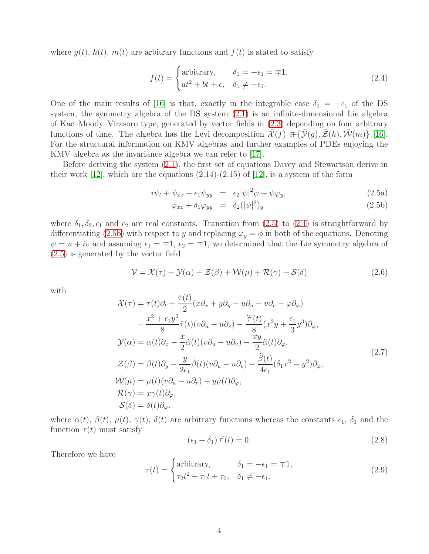where  $g(t)$ ,  $h(t)$ ,  $m(t)$  are arbitrary functions and  $f(t)$  is stated to satisfy

$$
f(t) = \begin{cases} \text{arbitrary,} & \delta_1 = -\epsilon_1 = \mp 1, \\ at^2 + bt + c, & \delta_1 \neq -\epsilon_1. \end{cases}
$$
 (2.4)

One of the main results of [\[16\]](#page-15-15) is that, exactly in the integrable case  $\delta_1 = -\epsilon_1$  of the DS system, the symmetry algebra of the DS system [\(2.1\)](#page-2-0) is an infinite-dimensional Lie algebra of Kac–Moody–Virasoro type, generated by vector fields in [\(2.3\)](#page-2-1) depending on four arbitrary functions of time. The algebra has the Levi decomposition  $\bar{\mathcal{X}}(f) \in {\bar{\mathcal{Y}}(g), \bar{\mathcal{Z}}(h), \bar{\mathcal{W}}(m)}$  [\[16\]](#page-15-15). For the structural information on KMV algebras and further examples of PDEs enjoying the KMV algebra as the invariance algebra we can refer to [\[17\]](#page-16-0).

Before deriving the system [\(2.1\)](#page-2-0), the first set of equations Davey and Stewartson derive in their work [\[12\]](#page-15-11), which are the equations  $(2.14)-(2.15)$  of [12], is a system of the form

<span id="page-3-1"></span>
$$
i\psi_t + \psi_{xx} + \epsilon_1 \psi_{yy} = \epsilon_2 |\psi|^2 \psi + \psi \varphi_y, \qquad (2.5a)
$$

<span id="page-3-0"></span>
$$
\varphi_{xx} + \delta_1 \varphi_{yy} = \delta_2 (|\psi|^2)_y \tag{2.5b}
$$

where  $\delta_1, \delta_2, \epsilon_1$  and  $\epsilon_2$  are real constants. Transition from [\(2.5\)](#page-3-0) to [\(2.1\)](#page-2-0) is straightforward by differentiating [\(2.5b\)](#page-3-1) with respect to y and replacing  $\varphi_y = \phi$  in both of the equations. Denoting  $\psi = u + iv$  and assuming  $\epsilon_1 = \pm 1$ ,  $\epsilon_2 = \pm 1$ , we determined that the Lie symmetry algebra of [\(2.5\)](#page-3-0) is generated by the vector field

$$
\mathcal{V} = \mathcal{X}(\tau) + \mathcal{Y}(\alpha) + \mathcal{Z}(\beta) + \mathcal{W}(\mu) + \mathcal{R}(\gamma) + \mathcal{S}(\delta)
$$
\n(2.6)

with

<span id="page-3-2"></span>
$$
\mathcal{X}(\tau) = \tau(t)\partial_t + \frac{\dot{\tau}(t)}{2}(x\partial_x + y\partial_y - u\partial_u - v\partial_v - \varphi\partial_\varphi)
$$
  
\n
$$
- \frac{x^2 + \epsilon_1 y^2}{8} \ddot{\tau}(t)(v\partial_u - u\partial_v) - \frac{\ddot{\tau}(t)}{8}(x^2y + \frac{\epsilon_1}{3}y^3)\partial_\varphi,
$$
  
\n
$$
\mathcal{Y}(\alpha) = \alpha(t)\partial_x - \frac{x}{2}\dot{\alpha}(t)(v\partial_u - u\partial_v) - \frac{xy}{2}\ddot{\alpha}(t)\partial_\varphi,
$$
  
\n
$$
\mathcal{Z}(\beta) = \beta(t)\partial_y - \frac{y}{2\epsilon_1}\dot{\beta}(t)(v\partial_u - u\partial_v) + \frac{\ddot{\beta}(t)}{4\epsilon_1}(\delta_1 x^2 - y^2)\partial_\varphi,
$$
  
\n
$$
\mathcal{W}(\mu) = \mu(t)(v\partial_u - u\partial_v) + y\dot{\mu}(t)\partial_\varphi,
$$
  
\n
$$
\mathcal{R}(\gamma) = x\gamma(t)\partial_\varphi,
$$
  
\n
$$
\mathcal{S}(\delta) = \delta(t)\partial_\varphi.
$$
\n(2.7)

where  $\alpha(t)$ ,  $\beta(t)$ ,  $\mu(t)$ ,  $\gamma(t)$ ,  $\delta(t)$  are arbitrary functions whereas the constants  $\epsilon_1$ ,  $\delta_1$  and the function  $\tau(t)$  must satisfy ...

$$
(\epsilon_1 + \delta_1)\ddot{\tau}(t) = 0. \tag{2.8}
$$

Therefore we have

$$
\tau(t) = \begin{cases}\text{arbitrary,} & \delta_1 = -\epsilon_1 = \mp 1, \\ \tau_2 t^2 + \tau_1 t + \tau_0, & \delta_1 \neq -\epsilon_1.\end{cases}
$$
\n(2.9)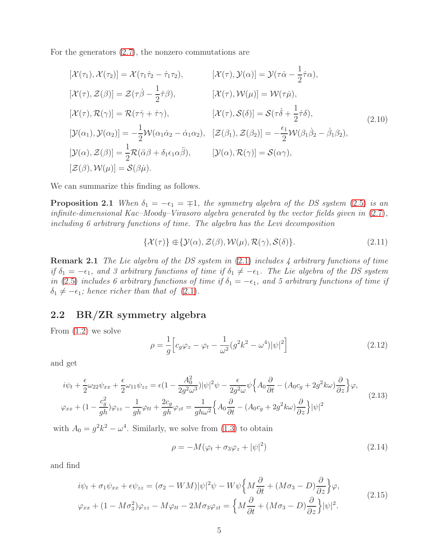For the generators [\(2.7\)](#page-3-2), the nonzero commutations are

$$
[\mathcal{X}(\tau_1), \mathcal{X}(\tau_2)] = \mathcal{X}(\tau_1 \dot{\tau}_2 - \dot{\tau}_1 \tau_2), \qquad [\mathcal{X}(\tau), \mathcal{Y}(\alpha)] = \mathcal{Y}(\tau \dot{\alpha} - \frac{1}{2} \dot{\tau} \alpha), [\mathcal{X}(\tau), \mathcal{Z}(\beta)] = \mathcal{Z}(\tau \dot{\beta} - \frac{1}{2} \dot{\tau} \beta), \qquad [\mathcal{X}(\tau), \mathcal{W}(\mu)] = \mathcal{W}(\tau \dot{\mu}), [\mathcal{X}(\tau), \mathcal{R}(\gamma)] = \mathcal{R}(\tau \dot{\gamma} + \dot{\tau} \gamma), \qquad [\mathcal{X}(\tau), \mathcal{S}(\delta)] = \mathcal{S}(\tau \dot{\delta} + \frac{1}{2} \dot{\tau} \delta), [\mathcal{Y}(\alpha_1), \mathcal{Y}(\alpha_2)] = -\frac{1}{2} \mathcal{W}(\alpha_1 \dot{\alpha}_2 - \dot{\alpha}_1 \alpha_2), \quad [\mathcal{Z}(\beta_1), \mathcal{Z}(\beta_2)] = -\frac{\epsilon_1}{2} \mathcal{W}(\beta_1 \dot{\beta}_2 - \dot{\beta}_1 \beta_2), [\mathcal{Y}(\alpha), \mathcal{Z}(\beta)] = \frac{1}{2} \mathcal{R}(\ddot{\alpha}\beta + \delta_1 \epsilon_1 \alpha \ddot{\beta}), \qquad [\mathcal{Y}(\alpha), \mathcal{R}(\gamma)] = \mathcal{S}(\alpha \gamma), [\mathcal{Z}(\beta), \mathcal{W}(\mu)] = \mathcal{S}(\beta \dot{\mu}).
$$
\n(2.10)

We can summarize this finding as follows.

**Proposition 2.1** When  $\delta_1 = -\epsilon_1 = \mp 1$ , the symmetry algebra of the DS system [\(2.5\)](#page-3-0) is an infinite-dimensional Kac–Moody–Virasoro algebra generated by the vector fields given in [\(2.7\)](#page-3-2), including 6 arbitrary functions of time. The algebra has the Levi decomposition

$$
\{\mathcal{X}(\tau)\}\in\{\mathcal{Y}(\alpha),\mathcal{Z}(\beta),\mathcal{W}(\mu),\mathcal{R}(\gamma),\mathcal{S}(\delta)\}.
$$
\n(2.11)

**Remark 2.1** The Lie algebra of the DS system in  $(2.1)$  includes 4 arbitrary functions of time if  $\delta_1 = -\epsilon_1$ , and 3 arbitrary functions of time if  $\delta_1 \neq -\epsilon_1$ . The Lie algebra of the DS system in [\(2.5\)](#page-3-0) includes 6 arbitrary functions of time if  $\delta_1 = -\epsilon_1$ , and 5 arbitrary functions of time if  $\delta_1 \neq -\epsilon_1$ ; hence richer than that of [\(2.1\)](#page-2-0).

### 2.2 BR/ZR symmetry algebra

From [\(1.2\)](#page-1-1) we solve

$$
\rho = \frac{1}{g} \left[ c_g \varphi_z - \varphi_t - \frac{1}{\omega^2} (g^2 k^2 - \omega^4) |\psi|^2 \right]
$$
\n(2.12)

and get

$$
i\psi_t + \frac{\epsilon}{2}\omega_{22}\psi_{xx} + \frac{\epsilon}{2}\omega_{11}\psi_{zz} = \epsilon(1 - \frac{A_0^2}{2g^2\omega^3})|\psi|^2\psi - \frac{\epsilon}{2g^2\omega}\psi\left\{A_0\frac{\partial}{\partial t} - (A_0c_g + 2g^2k\omega)\frac{\partial}{\partial z}\right\}\varphi,
$$
  

$$
\varphi_{xx} + (1 - \frac{c_g^2}{gh})\varphi_{zz} - \frac{1}{gh}\varphi_{tt} + \frac{2c_g}{gh}\varphi_{zt} = \frac{1}{gh\omega^2}\left\{A_0\frac{\partial}{\partial t} - (A_0c_g + 2g^2k\omega)\frac{\partial}{\partial z}\right\}|\psi|^2
$$
\n(2.13)

with  $A_0 = g^2 k^2 - \omega^4$ . Similarly, we solve from [\(1.3\)](#page-1-0) to obtain

$$
\rho = -M(\varphi_t + \sigma_3 \varphi_z + |\psi|^2) \tag{2.14}
$$

and find

$$
i\psi_t + \sigma_1 \psi_{xx} + \epsilon \psi_{zz} = (\sigma_2 - WM)|\psi|^2 \psi - W\psi \left\{ M \frac{\partial}{\partial t} + (M\sigma_3 - D) \frac{\partial}{\partial z} \right\} \varphi,
$$
  

$$
\varphi_{xx} + (1 - M\sigma_3^2)\varphi_{zz} - M\varphi_{tt} - 2M\sigma_3 \varphi_{zt} = \left\{ M \frac{\partial}{\partial t} + (M\sigma_3 - D) \frac{\partial}{\partial z} \right\} |\psi|^2.
$$
 (2.15)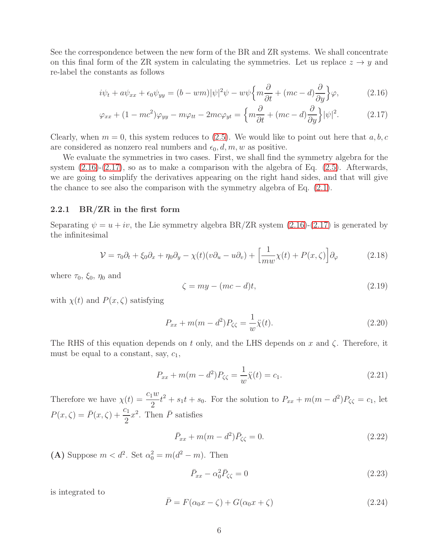See the correspondence between the new form of the BR and ZR systems. We shall concentrate on this final form of the ZR system in calculating the symmetries. Let us replace  $z \rightarrow y$  and re-label the constants as follows

<span id="page-5-0"></span>
$$
i\psi_t + a\psi_{xx} + \epsilon_0 \psi_{yy} = (b - w\eta)|\psi|^2 \psi - w\psi \left\{ m\frac{\partial}{\partial t} + (mc - d)\frac{\partial}{\partial y} \right\} \varphi, \tag{2.16}
$$

$$
\varphi_{xx} + (1 - mc^2)\varphi_{yy} - m\varphi_{tt} - 2mc\varphi_{yt} = \left\{ m\frac{\partial}{\partial t} + (mc - d)\frac{\partial}{\partial y} \right\} |\psi|^2. \tag{2.17}
$$

Clearly, when  $m = 0$ , this system reduces to [\(2.5\)](#page-3-0). We would like to point out here that  $a, b, c$ are considered as nonzero real numbers and  $\epsilon_0, d, m, w$  as positive.

We evaluate the symmetries in two cases. First, we shall find the symmetry algebra for the system  $(2.16)-(2.17)$  $(2.16)-(2.17)$ , so as to make a comparison with the algebra of Eq.  $(2.5)$ . Afterwards, we are going to simplify the derivatives appearing on the right hand sides, and that will give the chance to see also the comparison with the symmetry algebra of Eq. [\(2.1\)](#page-2-0).

#### 2.2.1 BR/ZR in the first form

Separating  $\psi = u + iv$ , the Lie symmetry algebra BR/ZR system [\(2.16\)](#page-5-0)-[\(2.17\)](#page-5-1) is generated by the infinitesimal

$$
\mathcal{V} = \tau_0 \partial_t + \xi_0 \partial_x + \eta_0 \partial_y - \chi(t)(v \partial_u - u \partial_v) + \left[\frac{1}{m w} \chi(t) + P(x, \zeta)\right] \partial_\varphi \tag{2.18}
$$

where  $\tau_0$ ,  $\xi_0$ ,  $\eta_0$  and

<span id="page-5-1"></span>
$$
\zeta = my - (mc - d)t,\tag{2.19}
$$

with  $\chi(t)$  and  $P(x,\zeta)$  satisfying

$$
P_{xx} + m(m - d^2)P_{\zeta\zeta} = \frac{1}{w}\ddot{\chi}(t).
$$
\n(2.20)

The RHS of this equation depends on t only, and the LHS depends on x and  $\zeta$ . Therefore, it must be equal to a constant, say,  $c_1$ ,

$$
P_{xx} + m(m - d^2)P_{\zeta\zeta} = \frac{1}{w}\ddot{\chi}(t) = c_1.
$$
\n(2.21)

Therefore we have  $\chi(t) = \frac{c_1 w}{c_1}$ 2  $t^2 + s_1 t + s_0$ . For the solution to  $P_{xx} + m(m - d^2)P_{\zeta\zeta} = c_1$ , let  $P(x,\zeta) = \bar{P}(x,\zeta) + \frac{c_1}{2}$ 2  $x^2$ . Then  $\overline{P}$  satisfies

$$
\bar{P}_{xx} + m(m - d^2)\bar{P}_{\zeta\zeta} = 0.
$$
\n(2.22)

(A) Suppose  $m < d^2$ . Set  $\alpha_0^2 = m(d^2 - m)$ . Then

$$
\bar{P}_{xx} - \alpha_0^2 \bar{P}_{\zeta\zeta} = 0 \tag{2.23}
$$

is integrated to

$$
\bar{P} = F(\alpha_0 x - \zeta) + G(\alpha_0 x + \zeta) \tag{2.24}
$$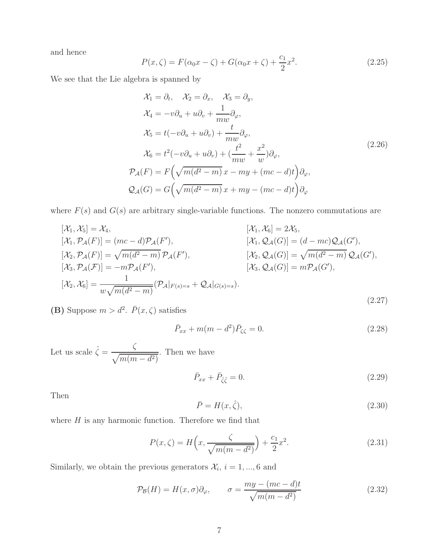and hence

$$
P(x,\zeta) = F(\alpha_0 x - \zeta) + G(\alpha_0 x + \zeta) + \frac{c_1}{2}x^2.
$$
 (2.25)

We see that the Lie algebra is spanned by

$$
\mathcal{X}_1 = \partial_t, \quad \mathcal{X}_2 = \partial_x, \quad \mathcal{X}_3 = \partial_y,
$$
  
\n
$$
\mathcal{X}_4 = -v\partial_u + u\partial_v + \frac{1}{mw}\partial_\varphi,
$$
  
\n
$$
\mathcal{X}_5 = t(-v\partial_u + u\partial_v) + \frac{t}{mw}\partial_\varphi,
$$
  
\n
$$
\mathcal{X}_6 = t^2(-v\partial_u + u\partial_v) + (\frac{t^2}{mw} + \frac{x^2}{w})\partial_\varphi,
$$
  
\n
$$
\mathcal{P}_\mathcal{A}(F) = F\left(\sqrt{m(d^2 - m)}x - my + (mc - d)t\right)\partial_\varphi,
$$
  
\n
$$
\mathcal{Q}_\mathcal{A}(G) = G\left(\sqrt{m(d^2 - m)}x + my - (mc - d)t\right)\partial_\varphi
$$
 (2.26)

where  $F(s)$  and  $G(s)$  are arbitrary single-variable functions. The nonzero commutations are

$$
[\mathcal{X}_{1}, \mathcal{X}_{5}] = \mathcal{X}_{4}, \qquad [\mathcal{X}_{1}, \mathcal{X}_{6}] = 2\mathcal{X}_{5}, [\mathcal{X}_{1}, \mathcal{P}_{\mathcal{A}}(F)] = (mc - d)\mathcal{P}_{\mathcal{A}}(F'), \qquad [\mathcal{X}_{1}, \mathcal{Q}_{\mathcal{A}}(G)] = (d - mc)\mathcal{Q}_{\mathcal{A}}(G'), [\mathcal{X}_{2}, \mathcal{P}_{\mathcal{A}}(F)] = \sqrt{m(d^{2} - m)}\mathcal{P}_{\mathcal{A}}(F'), \qquad [\mathcal{X}_{2}, \mathcal{Q}_{\mathcal{A}}(G)] = \sqrt{m(d^{2} - m)}\mathcal{Q}_{\mathcal{A}}(G'), [\mathcal{X}_{3}, \mathcal{P}_{\mathcal{A}}(F)] = -m\mathcal{P}_{\mathcal{A}}(F'), \qquad [\mathcal{X}_{3}, \mathcal{Q}_{\mathcal{A}}(G)] = m\mathcal{P}_{\mathcal{A}}(G'), [\mathcal{X}_{2}, \mathcal{X}_{6}] = \frac{1}{w\sqrt{m(d^{2} - m)}}(\mathcal{P}_{\mathcal{A}}|_{F(s)=s} + \mathcal{Q}_{\mathcal{A}}|_{G(s)=s}).
$$
\n(2.27)

(B) Suppose  $m > d^2$ .  $\bar{P}(x,\zeta)$  satisfies

$$
\bar{P}_{xx} + m(m - d^2)\bar{P}_{\zeta\zeta} = 0.
$$
\n(2.28)

Let us scale  $\hat{\zeta} = \frac{\zeta}{\sqrt{2\pi}}$  $\sqrt{m(m-d^2)}$ . Then we have

$$
\bar{P}_{xx} + \bar{P}_{\hat{\zeta}\hat{\zeta}} = 0. \tag{2.29}
$$

Then

$$
\bar{P} = H(x, \hat{\zeta}),\tag{2.30}
$$

where  $H$  is any harmonic function. Therefore we find that

$$
P(x,\zeta) = H\left(x, \frac{\zeta}{\sqrt{m(m - d^2)}}\right) + \frac{c_1}{2}x^2.
$$
 (2.31)

Similarly, we obtain the previous generators  $\mathcal{X}_i$ ,  $i = 1, ..., 6$  and

$$
\mathcal{P}_{\mathcal{B}}(H) = H(x, \sigma)\partial_{\varphi}, \qquad \sigma = \frac{my - (mc - d)t}{\sqrt{m(m - d^2)}}
$$
(2.32)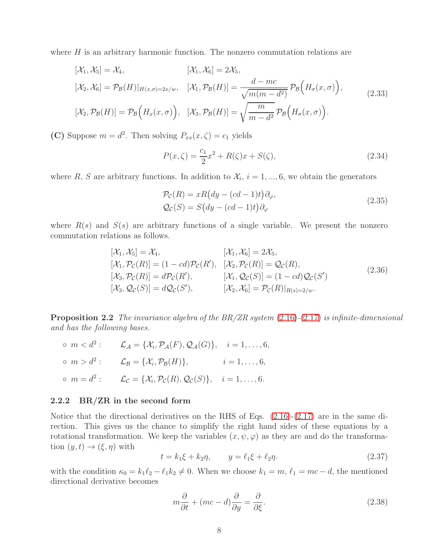where  $H$  is an arbitrary harmonic function. The nonzero commutation relations are

$$
[\mathcal{X}_1, \mathcal{X}_5] = \mathcal{X}_4, \qquad [\mathcal{X}_1, \mathcal{X}_6] = 2\mathcal{X}_5,
$$
  
\n
$$
[\mathcal{X}_2, \mathcal{X}_6] = \mathcal{P}_{\mathcal{B}}(H)|_{H(x,\sigma)=2x/w}, \quad [\mathcal{X}_1, \mathcal{P}_{\mathcal{B}}(H)] = \frac{d - mc}{\sqrt{m(m - d^2)}} \mathcal{P}_{\mathcal{B}}\Big(H_{\sigma}(x,\sigma)\Big),
$$
  
\n
$$
[\mathcal{X}_2, \mathcal{P}_{\mathcal{B}}(H)] = \mathcal{P}_{\mathcal{B}}\Big(H_x(x,\sigma)\Big), \quad [\mathcal{X}_3, \mathcal{P}_{\mathcal{B}}(H)] = \sqrt{\frac{m}{m - d^2}} \mathcal{P}_{\mathcal{B}}\Big(H_{\sigma}(x,\sigma)\Big).
$$
\n(2.33)

(C) Suppose  $m = d^2$ . Then solving  $P_{xx}(x,\zeta) = c_1$  yields

$$
P(x,\zeta) = \frac{c_1}{2}x^2 + R(\zeta)x + S(\zeta),
$$
\n(2.34)

where R, S are arbitrary functions. In addition to  $\mathcal{X}_i$ ,  $i = 1, ..., 6$ , we obtain the generators

$$
\mathcal{P}_{\mathcal{C}}(R) = xR\big(dy - (cd - 1)t\big)\partial_{\varphi},
$$
  
\n
$$
\mathcal{Q}_{\mathcal{C}}(S) = S\big(dy - (cd - 1)t\big)\partial_{\varphi}
$$
\n(2.35)

where  $R(s)$  and  $S(s)$  are arbitrary functions of a single variable. We present the nonzero commutation relations as follows.

$$
[\mathcal{X}_1, \mathcal{X}_5] = \mathcal{X}_4, \qquad [\mathcal{X}_1, \mathcal{X}_6] = 2\mathcal{X}_5, [\mathcal{X}_1, \mathcal{P}_C(R)] = (1 - cd)\mathcal{P}_C(R'), \quad [\mathcal{X}_2, \mathcal{P}_C(R)] = \mathcal{Q}_C(R), [\mathcal{X}_3, \mathcal{P}_C(R)] = d\mathcal{P}_C(R'), \qquad [\mathcal{X}_1, \mathcal{Q}_C(S)] = (1 - cd)\mathcal{Q}_C(S') [\mathcal{X}_3, \mathcal{Q}_C(S)] = d\mathcal{Q}_C(S'), \qquad [\mathcal{X}_2, \mathcal{X}_6] = \mathcal{P}_C(R)|_{R(s) = 2/w}.
$$
\n(2.36)

**Proposition 2.2** The invariance algebra of the  $BR/ZR$  system [\(2.16\)](#page-5-0)-[\(2.17\)](#page-5-1) is infinite-dimensional and has the following bases.

 $\circ m < d^2: \qquad \mathcal{L}_{\mathcal{A}} = {\mathcal{X}_i, \mathcal{P}_{\mathcal{A}}(F), \mathcal{Q}_{\mathcal{A}}(G)}, \quad i = 1, ..., 6,$  $\circ m > d^2: \qquad \mathcal{L}_{\mathcal{B}} = {\mathcal{X}_i, \mathcal{P}_{\mathcal{B}}(H)}, \qquad i = 1, ..., 6,$  $o \ m = d^2: \qquad \mathcal{L}_{\mathcal{C}} = {\mathcal{X}_i, \mathcal{P}_{\mathcal{C}}(R), \mathcal{Q}_{\mathcal{C}}(S)}, \quad i = 1, \ldots, 6.$ 

#### 2.2.2 BR/ZR in the second form

Notice that the directional derivatives on the RHS of Eqs. [\(2.16\)](#page-5-0)-[\(2.17\)](#page-5-1) are in the same direction. This gives us the chance to simplify the right hand sides of these equations by a rotational transformation. We keep the variables  $(x, \psi, \varphi)$  as they are and do the transformation  $(y, t) \rightarrow (\xi, \eta)$  with

$$
t = k_1 \xi + k_2 \eta, \qquad y = \ell_1 \xi + \ell_2 \eta. \tag{2.37}
$$

with the condition  $\kappa_0 = k_1 \ell_2 - \ell_1 k_2 \neq 0$ . When we choose  $k_1 = m$ ,  $\ell_1 = mc - d$ , the mentioned directional derivative becomes

$$
m\frac{\partial}{\partial t} + (mc - d)\frac{\partial}{\partial y} = \frac{\partial}{\partial \xi}.
$$
\n(2.38)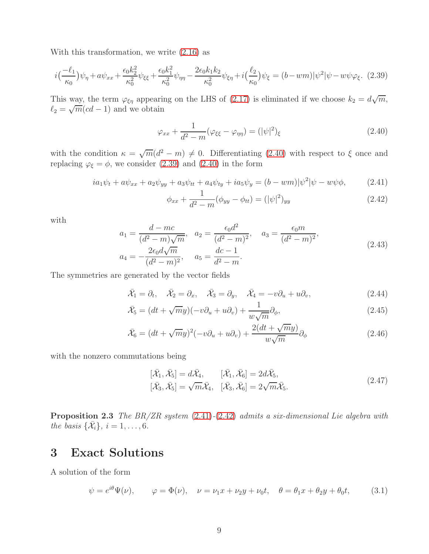With this transformation, we write [\(2.16\)](#page-5-0) as

<span id="page-8-1"></span>
$$
i\left(\frac{-\ell_1}{\kappa_0}\right)\psi_{\eta} + a\psi_{xx} + \frac{\epsilon_0 k_2^2}{\kappa_0^2}\psi_{\xi\xi} + \frac{\epsilon_0 k_1^2}{\kappa_0^2}\psi_{\eta\eta} - \frac{2\epsilon_0 k_1 k_2}{\kappa_0^2}\psi_{\xi\eta} + i\left(\frac{\ell_2}{\kappa_0}\right)\psi_{\xi} = (b - w\eta)|\psi^2|\psi - w\psi\varphi_{\xi}.\tag{2.39}
$$

This way, the term  $\varphi_{\xi\eta}$  appearing on the LHS of [\(2.17\)](#page-5-1) is eliminated if we choose  $k_2 = d\sqrt{m}$ ,  $\ell_2 = \sqrt{m}(cd-1)$  and we obtain

<span id="page-8-0"></span>
$$
\varphi_{xx} + \frac{1}{d^2 - m} (\varphi_{\xi\xi} - \varphi_{\eta\eta}) = (|\psi|^2)_{\xi}
$$
\n(2.40)

with the condition  $\kappa = \sqrt{m(d^2 - m)} \neq 0$ . Differentiating [\(2.40\)](#page-8-0) with respect to  $\xi$  once and replacing  $\varphi_{\xi} = \phi$ , we consider [\(2.39\)](#page-8-1) and [\(2.40\)](#page-8-0) in the form

$$
ia_1\psi_t + a\psi_{xx} + a_2\psi_{yy} + a_3\psi_{tt} + a_4\psi_{ty} + ia_5\psi_y = (b - \nu m)|\psi^2|\psi - \psi\phi,
$$
 (2.41)

<span id="page-8-3"></span><span id="page-8-2"></span>
$$
\phi_{xx} + \frac{1}{d^2 - m} (\phi_{yy} - \phi_{tt}) = (|\psi|^2)_{yy}
$$
\n(2.42)

with

$$
a_1 = \frac{d - mc}{(d^2 - m)\sqrt{m}}, \quad a_2 = \frac{\epsilon_0 d^2}{(d^2 - m)^2}, \quad a_3 = \frac{\epsilon_0 m}{(d^2 - m)^2},
$$
  
\n
$$
a_4 = -\frac{2\epsilon_0 d\sqrt{m}}{(d^2 - m)^2}, \quad a_5 = \frac{dc - 1}{d^2 - m}.
$$
\n(2.43)

The symmetries are generated by the vector fields

$$
\bar{\mathcal{X}}_1 = \partial_t, \quad \bar{\mathcal{X}}_2 = \partial_x, \quad \bar{\mathcal{X}}_3 = \partial_y, \quad \bar{\mathcal{X}}_4 = -v\partial_u + u\partial_v,\tag{2.44}
$$

$$
\bar{\mathcal{X}}_5 = (dt + \sqrt{m}y)(-v\partial_u + u\partial_v) + \frac{1}{w\sqrt{m}}\partial_\phi,
$$
\n(2.45)

$$
\bar{\mathcal{X}}_6 = (dt + \sqrt{m}y)^2(-v\partial_u + u\partial_v) + \frac{2(dt + \sqrt{m}y)}{w\sqrt{m}}\partial_\phi
$$
\n(2.46)

with the nonzero commutations being

$$
[\bar{\mathcal{X}}_1, \bar{\mathcal{X}}_5] = d\bar{\mathcal{X}}_4, \qquad [\bar{\mathcal{X}}_1, \bar{\mathcal{X}}_6] = 2d\bar{\mathcal{X}}_5, [\bar{\mathcal{X}}_3, \bar{\mathcal{X}}_5] = \sqrt{m}\bar{\mathcal{X}}_4, \quad [\bar{\mathcal{X}}_3, \bar{\mathcal{X}}_6] = 2\sqrt{m}\bar{\mathcal{X}}_5.
$$
\n(2.47)

**Proposition 2.3** The  $BR/ZR$  system  $(2.41)-(2.42)$  $(2.41)-(2.42)$  $(2.41)-(2.42)$  admits a six-dimensional Lie algebra with the basis  $\{\bar{\mathcal{X}}_i\}, i = 1, \ldots, 6.$ 

## 3 Exact Solutions

A solution of the form

<span id="page-8-4"></span>
$$
\psi = e^{i\theta} \Psi(\nu), \qquad \varphi = \Phi(\nu), \quad \nu = \nu_1 x + \nu_2 y + \nu_0 t, \quad \theta = \theta_1 x + \theta_2 y + \theta_0 t, \tag{3.1}
$$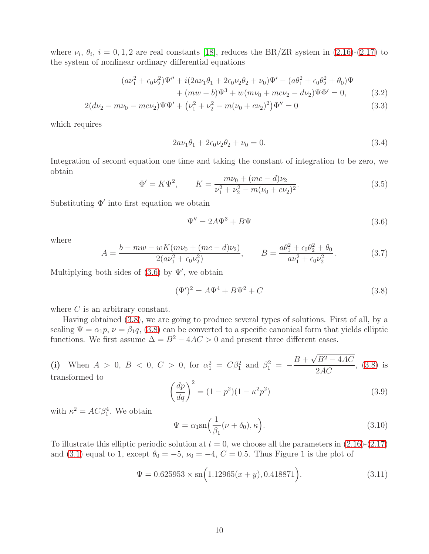where  $\nu_i$ ,  $\theta_i$ ,  $i = 0, 1, 2$  are real constants [\[18\]](#page-16-1), reduces the BR/ZR system in [\(2.16\)](#page-5-0)-[\(2.17\)](#page-5-1) to the system of nonlinear ordinary differential equations

$$
(a\nu_1^2 + \epsilon_0 \nu_2^2) \Psi'' + i(2a\nu_1 \theta_1 + 2\epsilon_0 \nu_2 \theta_2 + \nu_0) \Psi' - (a\theta_1^2 + \epsilon_0 \theta_2^2 + \theta_0) \Psi + (mw - b) \Psi^3 + w(m\nu_0 + mc\nu_2 - d\nu_2) \Psi \Phi' = 0,
$$
 (3.2)

$$
2(d\nu_2 - m\nu_0 - mc\nu_2)\Psi\Psi' + (\nu_1^2 + \nu_2^2 - m(\nu_0 + c\nu_2)^2)\Phi'' = 0
$$
\n(3.3)

which requires

$$
2a\nu_1\theta_1 + 2\epsilon_0\nu_2\theta_2 + \nu_0 = 0.
$$
\n(3.4)

Integration of second equation one time and taking the constant of integration to be zero, we obtain

<span id="page-9-3"></span>
$$
\Phi' = K\Psi^2, \qquad K = \frac{m\nu_0 + (mc - d)\nu_2}{\nu_1^2 + \nu_2^2 - m(\nu_0 + c\nu_2)^2}.
$$
\n(3.5)

Substituting Φ′ into first equation we obtain

<span id="page-9-0"></span>
$$
\Psi'' = 2A\Psi^3 + B\Psi \tag{3.6}
$$

where

$$
A = \frac{b - mw - wK(m\nu_0 + (mc - d)\nu_2)}{2(av_1^2 + \epsilon_0 \nu_2^2)}, \qquad B = \frac{a\theta_1^2 + \epsilon_0 \theta_2^2 + \theta_0}{a\nu_1^2 + \epsilon_0 \nu_2^2}.
$$
 (3.7)

Multiplying both sides of  $(3.6)$  by  $\Psi'$ , we obtain

<span id="page-9-1"></span>
$$
(\Psi')^2 = A\Psi^4 + B\Psi^2 + C \tag{3.8}
$$

where C is an arbitrary constant.

Having obtained [\(3.8\)](#page-9-1), we are going to produce several types of solutions. First of all, by a scaling  $\Psi = \alpha_1 p$ ,  $\nu = \beta_1 q$ , [\(3.8\)](#page-9-1) can be converted to a specific canonical form that yields elliptic functions. We first assume  $\Delta = B^2 - 4AC > 0$  and present three different cases.

(i) When 
$$
A > 0
$$
,  $B < 0$ ,  $C > 0$ , for  $\alpha_1^2 = C\beta_1^2$  and  $\beta_1^2 = -\frac{B + \sqrt{B^2 - 4AC}}{2AC}$ , (3.8) is transformed to

$$
\left(\frac{dp}{dq}\right)^2 = (1 - p^2)(1 - \kappa^2 p^2)
$$
\n(3.9)

with  $\kappa^2 = AC\beta_1^4$ . We obtain

<span id="page-9-2"></span>
$$
\Psi = \alpha_1 \operatorname{sn} \left( \frac{1}{\beta_1} (\nu + \delta_0), \kappa \right). \tag{3.10}
$$

To illustrate this elliptic periodic solution at  $t = 0$ , we choose all the parameters in  $(2.16)-(2.17)$  $(2.16)-(2.17)$ and [\(3.1\)](#page-8-4) equal to 1, except  $\theta_0 = -5$ ,  $\nu_0 = -4$ ,  $C = 0.5$ . Thus Figure 1 is the plot of

$$
\Psi = 0.625953 \times \text{sn}\left(1.12965(x+y), 0.418871\right). \tag{3.11}
$$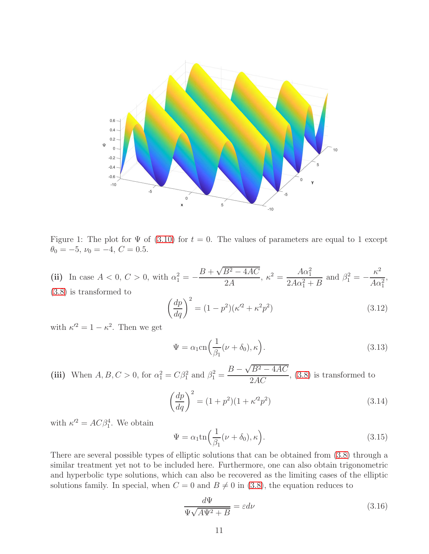

Figure 1: The plot for  $\Psi$  of [\(3.10\)](#page-9-2) for  $t = 0$ . The values of parameters are equal to 1 except  $\theta_0 = -5, \nu_0 = -4, C = 0.5.$ 

(ii) In case  $A < 0, C > 0$ , with  $\alpha_1^2 = B + \sqrt{B^2 - 4AC}$ 2A  $\kappa^2 = \frac{A\alpha_1^2}{8A_1^2}$  $2A\alpha_1^2 + B$ and  $\beta_1^2 = \kappa^2$  $A\alpha_1^2$ , [\(3.8\)](#page-9-1) is transformed to

$$
\left(\frac{dp}{dq}\right)^2 = (1 - p^2)(\kappa'^2 + \kappa^2 p^2)
$$
\n(3.12)

with  $\kappa^2 = 1 - \kappa^2$ . Then we get

$$
\Psi = \alpha_1 \text{cn} \Big( \frac{1}{\beta_1} (\nu + \delta_0), \kappa \Big). \tag{3.13}
$$

(iii) When  $A, B, C > 0$ , for  $\alpha_1^2 = C\beta_1^2$  and  $\beta_1^2 = \frac{B - \sqrt{B^2 - 4AC}}{2AC}$  $\frac{2AC}{2AC}$ , [\(3.8\)](#page-9-1) is transformed to

$$
\left(\frac{dp}{dq}\right)^2 = (1+p^2)(1+\kappa'^2p^2)
$$
\n(3.14)

with  $\kappa^2 = AC\beta_1^4$ . We obtain

$$
\Psi = \alpha_1 \text{tn} \Big( \frac{1}{\beta_1} (\nu + \delta_0), \kappa \Big). \tag{3.15}
$$

There are several possible types of elliptic solutions that can be obtained from [\(3.8\)](#page-9-1) through a similar treatment yet not to be included here. Furthermore, one can also obtain trigonometric and hyperbolic type solutions, which can also be recovered as the limiting cases of the elliptic solutions family. In special, when  $C = 0$  and  $B \neq 0$  in [\(3.8\)](#page-9-1), the equation reduces to

$$
\frac{d\Psi}{\Psi\sqrt{A\Psi^2 + B}} = \varepsilon d\nu\tag{3.16}
$$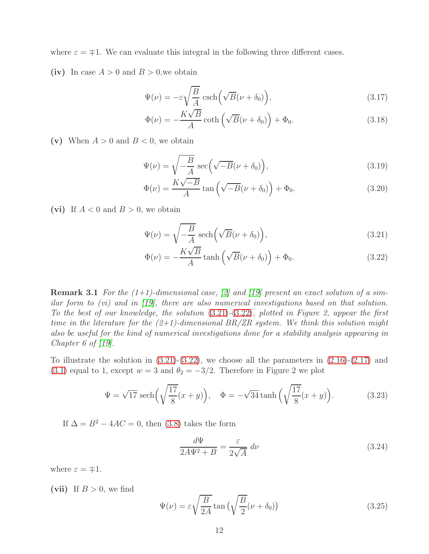where  $\varepsilon = \pm 1$ . We can evaluate this integral in the following three different cases.

(iv) In case  $A > 0$  and  $B > 0$ , we obtain

$$
\Psi(\nu) = -\varepsilon \sqrt{\frac{B}{A}} \operatorname{csch}\left(\sqrt{B}(\nu + \delta_0)\right),\tag{3.17}
$$

$$
\Phi(\nu) = -\frac{K\sqrt{B}}{A}\coth\left(\sqrt{B}(\nu + \delta_0)\right) + \Phi_0.
$$
\n(3.18)

(v) When  $A > 0$  and  $B < 0$ , we obtain

$$
\Psi(\nu) = \sqrt{-\frac{B}{A}} \sec\left(\sqrt{-B}(\nu + \delta_0)\right),\tag{3.19}
$$

$$
\Phi(\nu) = \frac{K\sqrt{-B}}{A} \tan\left(\sqrt{-B}(\nu + \delta_0)\right) + \Phi_0.
$$
\n(3.20)

(vi) If  $A < 0$  and  $B > 0$ , we obtain

<span id="page-11-0"></span>
$$
\Psi(\nu) = \sqrt{-\frac{B}{A}} \operatorname{sech}\left(\sqrt{B}(\nu + \delta_0)\right),\tag{3.21}
$$

<span id="page-11-1"></span>
$$
\Phi(\nu) = -\frac{K\sqrt{B}}{A}\tanh\left(\sqrt{B}(\nu + \delta_0)\right) + \Phi_0.
$$
\n(3.22)

**Remark 3.1** For the  $(1+1)$ -dimensional case, [\[2\]](#page-15-1) and [\[19\]](#page-16-2) present an exact solution of a similar form to (vi) and in [\[19\]](#page-16-2), there are also numerical investigations based on that solution. To the best of our knowledge, the solution [\(3.21\)](#page-11-0)-[\(3.22\)](#page-11-1), plotted in Figure 2, appear the first time in the literature for the  $(2+1)$ -dimensional BR/ZR system. We think this solution might also be useful for the kind of numerical investigations done for a stability analysis appearing in Chapter 6 of  $[19]$ .

To illustrate the solution in  $(3.21)-(3.22)$  $(3.21)-(3.22)$ , we choose all the parameters in  $(2.16)-(2.17)$  $(2.16)-(2.17)$  and [\(3.1\)](#page-8-4) equal to 1, except  $w = 3$  and  $\theta_2 = -3/2$ . Therefore in Figure 2 we plot

$$
\Psi = \sqrt{17} \operatorname{sech}\left(\sqrt{\frac{17}{8}}(x+y)\right), \quad \Phi = -\sqrt{34} \tanh\left(\sqrt{\frac{17}{8}}(x+y)\right). \tag{3.23}
$$

If  $\Delta = B^2 - 4AC = 0$ , then [\(3.8\)](#page-9-1) takes the form

$$
\frac{d\Psi}{2A\Psi^2 + B} = \frac{\varepsilon}{2\sqrt{A}} d\nu \tag{3.24}
$$

where  $\varepsilon = \mp 1$ .

(vii) If  $B > 0$ , we find

$$
\Psi(\nu) = \varepsilon \sqrt{\frac{B}{2A}} \tan \left( \sqrt{\frac{B}{2}} (\nu + \delta_0) \right)
$$
\n(3.25)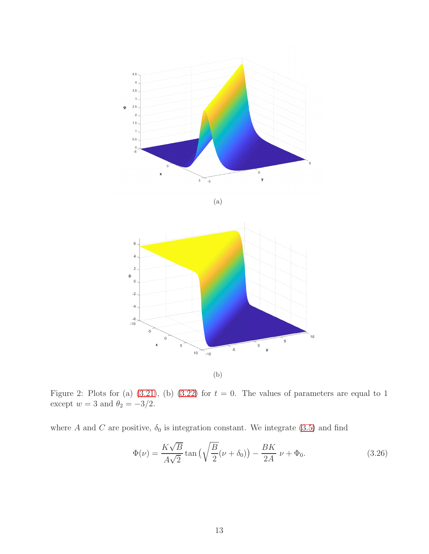

$$
(\mathrm{a})
$$



(b)

Figure 2: Plots for (a)  $(3.21)$ , (b)  $(3.22)$  for  $t = 0$ . The values of parameters are equal to 1 except  $w = 3$  and  $\theta_2 = -3/2$ .

where A and C are positive,  $\delta_0$  is integration constant. We integrate [\(3.5\)](#page-9-3) and find

$$
\Phi(\nu) = \frac{K\sqrt{B}}{A\sqrt{2}}\tan\left(\sqrt{\frac{B}{2}}(\nu+\delta_0)\right) - \frac{BK}{2A}\nu + \Phi_0.
$$
\n(3.26)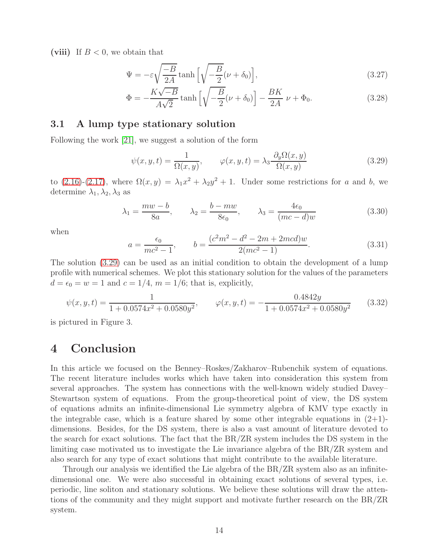(viii) If  $B < 0$ , we obtain that

$$
\Psi = -\varepsilon \sqrt{\frac{-B}{2A}} \tanh\left[\sqrt{\frac{-B}{2}}(\nu + \delta_0)\right],\tag{3.27}
$$

$$
\Phi = -\frac{K\sqrt{-B}}{A\sqrt{2}}\tanh\left[\sqrt{-\frac{B}{2}}(\nu + \delta_0)\right] - \frac{BK}{2A}\nu + \Phi_0.
$$
\n(3.28)

### 3.1 A lump type stationary solution

Following the work [\[21\]](#page-16-3), we suggest a solution of the form

<span id="page-13-0"></span>
$$
\psi(x, y, t) = \frac{1}{\Omega(x, y)}, \qquad \varphi(x, y, t) = \lambda_3 \frac{\partial_y \Omega(x, y)}{\Omega(x, y)}
$$
(3.29)

to  $(2.16)-(2.17)$  $(2.16)-(2.17)$ , where  $\Omega(x,y) = \lambda_1 x^2 + \lambda_2 y^2 + 1$ . Under some restrictions for a and b, we determine  $\lambda_1, \lambda_2, \lambda_3$  as

$$
\lambda_1 = \frac{mw - b}{8a}, \qquad \lambda_2 = \frac{b - mw}{8\epsilon_0}, \qquad \lambda_3 = \frac{4\epsilon_0}{(mc - d)w}
$$
\n(3.30)

when

$$
a = \frac{\epsilon_0}{mc^2 - 1}, \qquad b = \frac{(c^2m^2 - d^2 - 2m + 2mcd)w}{2(mc^2 - 1)}.
$$
\n(3.31)

The solution [\(3.29\)](#page-13-0) can be used as an initial condition to obtain the development of a lump profile with numerical schemes. We plot this stationary solution for the values of the parameters  $d = \epsilon_0 = w = 1$  and  $c = 1/4$ ,  $m = 1/6$ ; that is, explicitly,

<span id="page-13-1"></span>
$$
\psi(x, y, t) = \frac{1}{1 + 0.0574x^2 + 0.0580y^2}, \qquad \varphi(x, y, t) = -\frac{0.4842y}{1 + 0.0574x^2 + 0.0580y^2}
$$
(3.32)

is pictured in Figure 3.

## 4 Conclusion

In this article we focused on the Benney–Roskes/Zakharov–Rubenchik system of equations. The recent literature includes works which have taken into consideration this system from several approaches. The system has connections with the well-known widely studied Davey– Stewartson system of equations. From the group-theoretical point of view, the DS system of equations admits an infinite-dimensional Lie symmetry algebra of KMV type exactly in the integrable case, which is a feature shared by some other integrable equations in  $(2+1)$ dimensions. Besides, for the DS system, there is also a vast amount of literature devoted to the search for exact solutions. The fact that the BR/ZR system includes the DS system in the limiting case motivated us to investigate the Lie invariance algebra of the BR/ZR system and also search for any type of exact solutions that might contribute to the available literature.

Through our analysis we identified the Lie algebra of the BR/ZR system also as an infinitedimensional one. We were also successful in obtaining exact solutions of several types, i.e. periodic, line soliton and stationary solutions. We believe these solutions will draw the attentions of the community and they might support and motivate further research on the BR/ZR system.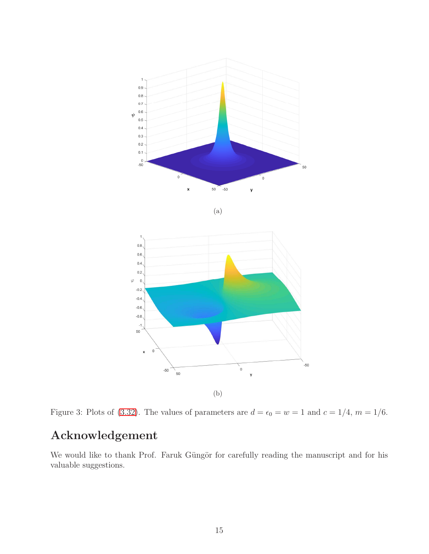





(b)

Figure 3: Plots of [\(3.32\)](#page-13-1). The values of parameters are  $d = \epsilon_0 = w = 1$  and  $c = 1/4$ ,  $m = 1/6$ .

# Acknowledgement

We would like to thank Prof. Faruk Güngör for carefully reading the manuscript and for his valuable suggestions.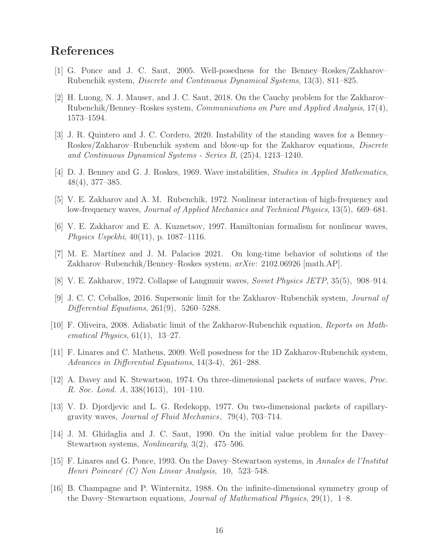### <span id="page-15-0"></span>References

- <span id="page-15-1"></span>[1] G. Ponce and J. C. Saut, 2005. Well-posedness for the Benney–Roskes/Zakharov– Rubenchik system, Discrete and Continuous Dynamical Systems, 13(3), 811–825.
- [2] H. Luong, N. J. Mauser, and J. C. Saut, 2018. On the Cauchy problem for the Zakharov– Rubenchik/Benney–Roskes system, Communications on Pure and Applied Analysis, 17(4), 1573–1594.
- <span id="page-15-2"></span>[3] J. R. Quintero and J. C. Cordero, 2020. Instability of the standing waves for a Benney– Roskes/Zakharov–Rubenchik system and blow-up for the Zakharov equations, Discrete and Continuous Dynamical Systems - Series B, (25)4, 1213–1240.
- <span id="page-15-4"></span><span id="page-15-3"></span>[4] D. J. Benney and G. J. Roskes, 1969. Wave instabilities, Studies in Applied Mathematics, 48(4), 377–385.
- <span id="page-15-5"></span>[5] V. E. Zakharov and A. M. Rubenchik, 1972. Nonlinear interaction of high-frequency and low-frequency waves, Journal of Applied Mechanics and Technical Physics, 13(5), 669–681.
- <span id="page-15-6"></span>[6] V. E. Zakharov and E. A. Kuznetsov, 1997. Hamiltonian formalism for nonlinear waves, Physics Uspekhi, 40(11), p. 1087–1116.
- <span id="page-15-7"></span>[7] M. E. Martínez and J. M. Palacios 2021. On long-time behavior of solutions of the Zakharov–Rubenchik/Benney–Roskes system, arXiv: 2102.06926 [math.AP].
- <span id="page-15-8"></span>[8] V. E. Zakharov, 1972. Collapse of Langmuir waves, Soviet Physics JETP, 35(5), 908–914.
- [9] J. C. C. Ceballos, 2016. Supersonic limit for the Zakharov–Rubenchik system, Journal of Differential Equations, 261(9), 5260–5288.
- <span id="page-15-10"></span><span id="page-15-9"></span>[10] F. Oliveira, 2008. Adiabatic limit of the Zakharov-Rubenchik equation, Reports on Mathematical Physics,  $61(1)$ ,  $13-27$ .
- <span id="page-15-11"></span>[11] F. Linares and C. Matheus, 2009. Well posedness for the 1D Zakharov-Rubenchik system, Advances in Differential Equations, 14(3-4), 261–288.
- <span id="page-15-12"></span>[12] A. Davey and K. Stewartson, 1974. On three-dimensional packets of surface waves, Proc. R. Soc. Lond. A, 338(1613), 101–110.
- [13] V. D. Djordjevic and L. G. Redekopp, 1977. On two-dimensional packets of capillarygravity waves, Journal of Fluid Mechanics, 79(4), 703–714.
- <span id="page-15-13"></span>[14] J. M. Ghidaglia and J. C. Saut, 1990. On the initial value problem for the Davey– Stewartson systems, Nonlinearity, 3(2), 475–506.
- <span id="page-15-14"></span>[15] F. Linares and G. Ponce, 1993. On the Davey–Stewartson systems, in Annales de l'Institut Henri Poincaré  $(C)$  Non Linear Analysis, 10, 523–548.
- <span id="page-15-15"></span>[16] B. Champagne and P. Winternitz, 1988. On the infinite-dimensional symmetry group of the Davey–Stewartson equations, Journal of Mathematical Physics, 29(1), 1–8.